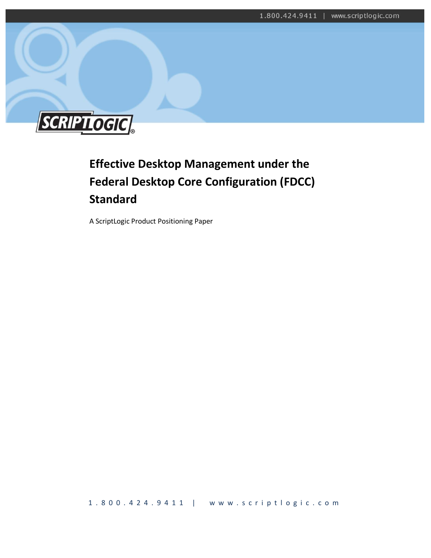

# **Effective Desktop Management under the Federal Desktop Core Configuration (FDCC) Standard**

A ScriptLogic Product Positioning Paper

1 . 8 0 0 . 4 2 4 . 9 4 1 1 | www.scriptlogic.com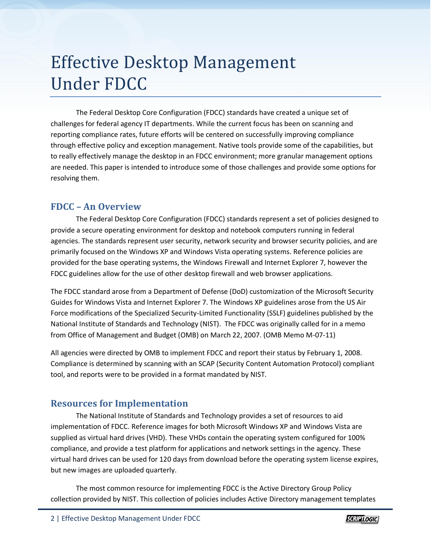# Effective Desktop Management Under FDCC

The Federal Desktop Core Configuration (FDCC) standards have created a unique set of challenges for federal agency IT departments. While the current focus has been on scanning and reporting compliance rates, future efforts will be centered on successfully improving compliance through effective policy and exception management. Native tools provide some of the capabilities, but to really effectively manage the desktop in an FDCC environment; more granular management options are needed. This paper is intended to introduce some of those challenges and provide some options for resolving them.

### **FDCC – An Overview**

The Federal Desktop Core Configuration (FDCC) standards represent a set of policies designed to provide a secure operating environment for desktop and notebook computers running in federal agencies. The standards represent user security, network security and browser security policies, and are primarily focused on the Windows XP and Windows Vista operating systems. Reference policies are provided for the base operating systems, the Windows Firewall and Internet Explorer 7, however the FDCC guidelines allow for the use of other desktop firewall and web browser applications.

The FDCC standard arose from a Department of Defense (DoD) customization of the Microsoft Security Guides for Windows Vista and Internet Explorer 7. The Windows XP guidelines arose from the US Air Force modifications of the Specialized Security-Limited Functionality (SSLF) guidelines published by the National Institute of Standards and Technology (NIST). The FDCC was originally called for in a memo from Office of Management and Budget (OMB) on March 22, 2007. (OMB Memo M-07-11)

All agencies were directed by OMB to implement FDCC and report their status by February 1, 2008. Compliance is determined by scanning with an SCAP (Security Content Automation Protocol) compliant tool, and reports were to be provided in a format mandated by NIST.

# **Resources for Implementation**

The National Institute of Standards and Technology provides a set of resources to aid implementation of FDCC. Reference images for both Microsoft Windows XP and Windows Vista are supplied as virtual hard drives (VHD). These VHDs contain the operating system configured for 100% compliance, and provide a test platform for applications and network settings in the agency. These virtual hard drives can be used for 120 days from download before the operating system license expires, but new images are uploaded quarterly.

The most common resource for implementing FDCC is the Active Directory Group Policy collection provided by NIST. This collection of policies includes Active Directory management templates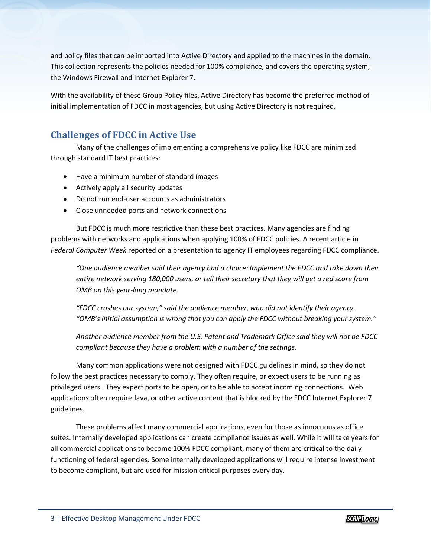and policy files that can be imported into Active Directory and applied to the machines in the domain. This collection represents the policies needed for 100% compliance, and covers the operating system, the Windows Firewall and Internet Explorer 7.

With the availability of these Group Policy files, Active Directory has become the preferred method of initial implementation of FDCC in most agencies, but using Active Directory is not required.

# **Challenges of FDCC in Active Use**

Many of the challenges of implementing a comprehensive policy like FDCC are minimized through standard IT best practices:

- Have a minimum number of standard images
- Actively apply all security updates
- Do not run end-user accounts as administrators
- Close unneeded ports and network connections

But FDCC is much more restrictive than these best practices. Many agencies are finding problems with networks and applications when applying 100% of FDCC policies. A recent article in *Federal Computer Week* reported on a presentation to agency IT employees regarding FDCC compliance.

*"One audience member said their agency had a choice: Implement the FDCC and take down their entire network serving 180,000 users, or tell their secretary that they will get a red score from OMB on this year-long mandate.*

*"FDCC crashes our system," said the audience member, who did not identify their agency. "OMB's initial assumption is wrong that you can apply the FDCC without breaking your system."*

*Another audience member from the U.S. Patent and Trademark Office said they will not be FDCC compliant because they have a problem with a number of the settings.*

Many common applications were not designed with FDCC guidelines in mind, so they do not follow the best practices necessary to comply. They often require, or expect users to be running as privileged users. They expect ports to be open, or to be able to accept incoming connections. Web applications often require Java, or other active content that is blocked by the FDCC Internet Explorer 7 guidelines.

These problems affect many commercial applications, even for those as innocuous as office suites. Internally developed applications can create compliance issues as well. While it will take years for all commercial applications to become 100% FDCC compliant, many of them are critical to the daily functioning of federal agencies. Some internally developed applications will require intense investment to become compliant, but are used for mission critical purposes every day.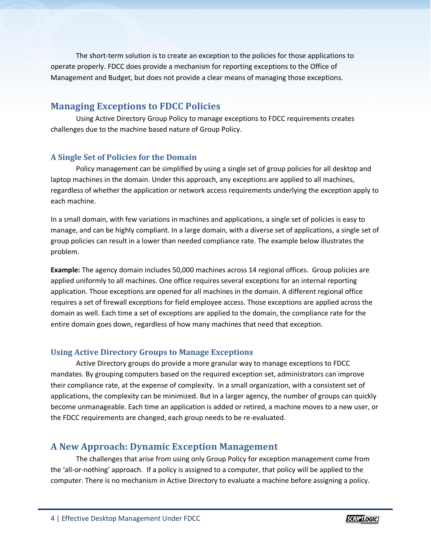The short-term solution is to create an exception to the policies for those applications to operate properly. FDCC does provide a mechanism for reporting exceptions to the Office of Management and Budget, but does not provide a clear means of managing those exceptions.

## **Managing Exceptions to FDCC Policies**

Using Active Directory Group Policy to manage exceptions to FDCC requirements creates challenges due to the machine based nature of Group Policy.

#### **A Single Set of Policies for the Domain**

Policy management can be simplified by using a single set of group policies for all desktop and laptop machines in the domain. Under this approach, any exceptions are applied to all machines, regardless of whether the application or network access requirements underlying the exception apply to each machine.

In a small domain, with few variations in machines and applications, a single set of policies is easy to manage, and can be highly compliant. In a large domain, with a diverse set of applications, a single set of group policies can result in a lower than needed compliance rate. The example below illustrates the problem.

**Example:** The agency domain includes 50,000 machines across 14 regional offices. Group policies are applied uniformly to all machines. One office requires several exceptions for an internal reporting application. Those exceptions are opened for all machines in the domain. A different regional office requires a set of firewall exceptions for field employee access. Those exceptions are applied across the domain as well. Each time a set of exceptions are applied to the domain, the compliance rate for the entire domain goes down, regardless of how many machines that need that exception.

#### **Using Active Directory Groups to Manage Exceptions**

Active Directory groups do provide a more granular way to manage exceptions to FDCC mandates. By grouping computers based on the required exception set, administrators can improve their compliance rate, at the expense of complexity. In a small organization, with a consistent set of applications, the complexity can be minimized. But in a larger agency, the number of groups can quickly become unmanageable. Each time an application is added or retired, a machine moves to a new user, or the FDCC requirements are changed, each group needs to be re-evaluated.

# **A New Approach: Dynamic Exception Management**

The challenges that arise from using only Group Policy for exception management come from the 'all-or-nothing' approach. If a policy is assigned to a computer, that policy will be applied to the computer. There is no mechanism in Active Directory to evaluate a machine before assigning a policy.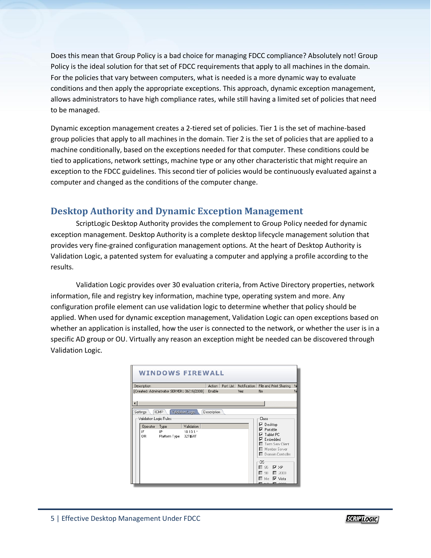Does this mean that Group Policy is a bad choice for managing FDCC compliance? Absolutely not! Group Policy is the ideal solution for that set of FDCC requirements that apply to all machines in the domain. For the policies that vary between computers, what is needed is a more dynamic way to evaluate conditions and then apply the appropriate exceptions. This approach, dynamic exception management, allows administrators to have high compliance rates, while still having a limited set of policies that need to be managed.

Dynamic exception management creates a 2-tiered set of policies. Tier 1 is the set of machine-based group policies that apply to all machines in the domain. Tier 2 is the set of policies that are applied to a machine conditionally, based on the exceptions needed for that computer. These conditions could be tied to applications, network settings, machine type or any other characteristic that might require an exception to the FDCC guidelines. This second tier of policies would be continuously evaluated against a computer and changed as the conditions of the computer change.

### **Desktop Authority and Dynamic Exception Management**

ScriptLogic Desktop Authority provides the complement to Group Policy needed for dynamic exception management. Desktop Authority is a complete desktop lifecycle management solution that provides very fine-grained configuration management options. At the heart of Desktop Authority is Validation Logic, a patented system for evaluating a computer and applying a profile according to the results.

Validation Logic provides over 30 evaluation criteria, from Active Directory properties, network information, file and registry key information, machine type, operating system and more. Any configuration profile element can use validation logic to determine whether that policy should be applied. When used for dynamic exception management, Validation Logic can open exceptions based on whether an application is installed, how the user is connected to the network, or whether the user is in a specific AD group or OU. Virtually any reason an exception might be needed can be discovered through Validation Logic.

| Description                                                                                | Action      | Port List | Notification | File and Print Sharing                                                                                     | N |
|--------------------------------------------------------------------------------------------|-------------|-----------|--------------|------------------------------------------------------------------------------------------------------------|---|
| [Created: Administrator SERVER1 06/19/2008]                                                | Enable      |           | Yes          | No                                                                                                         | N |
| ICMP<br>Settings<br>Validation Logic<br>Validation Logic Rules <sup>.</sup>                | Description |           |              | Class <sup>-</sup><br>⊽<br>Desktop                                                                         |   |
| Type<br>Validation<br>Operator<br>IF<br>IP<br>10.10.1.*<br>0B.<br>Platform Type<br>32TI64T |             |           |              | Portable<br>⊽<br>Tablet PC<br>⊽<br>Embedded<br>⊽<br>Term Serv Client<br>Member Server<br>Domain Controller |   |
|                                                                                            |             |           |              | 0S<br>95<br>ি × P<br>98<br>$\Box$ 2003<br>$\nabla$ Vista<br>Me                                             |   |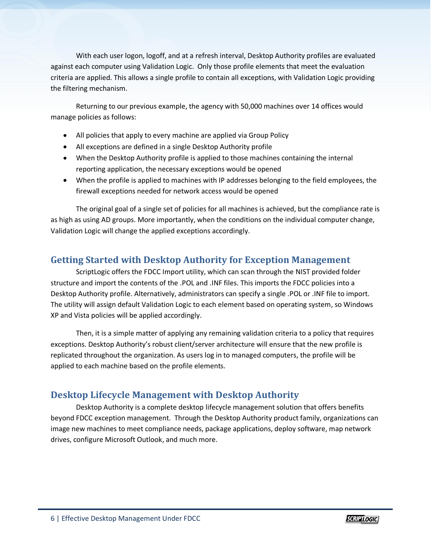With each user logon, logoff, and at a refresh interval, Desktop Authority profiles are evaluated against each computer using Validation Logic. Only those profile elements that meet the evaluation criteria are applied. This allows a single profile to contain all exceptions, with Validation Logic providing the filtering mechanism.

Returning to our previous example, the agency with 50,000 machines over 14 offices would manage policies as follows:

- All policies that apply to every machine are applied via Group Policy
- All exceptions are defined in a single Desktop Authority profile
- When the Desktop Authority profile is applied to those machines containing the internal reporting application, the necessary exceptions would be opened
- When the profile is applied to machines with IP addresses belonging to the field employees, the firewall exceptions needed for network access would be opened

The original goal of a single set of policies for all machines is achieved, but the compliance rate is as high as using AD groups. More importantly, when the conditions on the individual computer change, Validation Logic will change the applied exceptions accordingly.

### **Getting Started with Desktop Authority for Exception Management**

ScriptLogic offers the FDCC Import utility, which can scan through the NIST provided folder structure and import the contents of the .POL and .INF files. This imports the FDCC policies into a Desktop Authority profile. Alternatively, administrators can specify a single .POL or .INF file to import. The utility will assign default Validation Logic to each element based on operating system, so Windows XP and Vista policies will be applied accordingly.

Then, it is a simple matter of applying any remaining validation criteria to a policy that requires exceptions. Desktop Authority's robust client/server architecture will ensure that the new profile is replicated throughout the organization. As users log in to managed computers, the profile will be applied to each machine based on the profile elements.

#### **Desktop Lifecycle Management with Desktop Authority**

Desktop Authority is a complete desktop lifecycle management solution that offers benefits beyond FDCC exception management. Through the Desktop Authority product family, organizations can image new machines to meet compliance needs, package applications, deploy software, map network drives, configure Microsoft Outlook, and much more.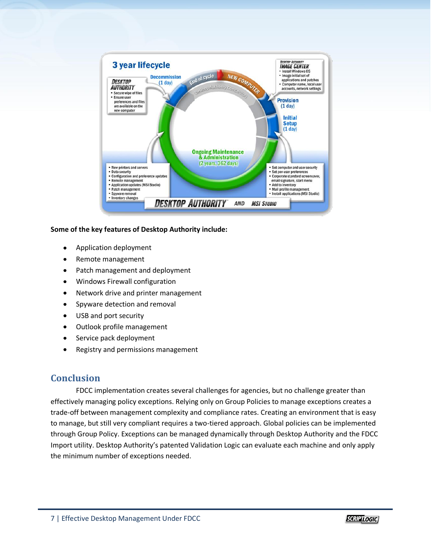

#### **Some of the key features of Desktop Authority include:**

- Application deployment
- Remote management
- Patch management and deployment  $\bullet$
- Windows Firewall configuration  $\bullet$
- Network drive and printer management  $\bullet$
- Spyware detection and removal  $\bullet$
- USB and port security  $\bullet$
- Outlook profile management  $\bullet$
- Service pack deployment  $\bullet$
- Registry and permissions management

#### **Conclusion**

FDCC implementation creates several challenges for agencies, but no challenge greater than effectively managing policy exceptions. Relying only on Group Policies to manage exceptions creates a trade-off between management complexity and compliance rates. Creating an environment that is easy to manage, but still very compliant requires a two-tiered approach. Global policies can be implemented through Group Policy. Exceptions can be managed dynamically through Desktop Authority and the FDCC Import utility. Desktop Authority's patented Validation Logic can evaluate each machine and only apply the minimum number of exceptions needed.